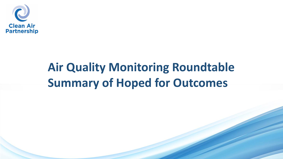

#### **Air Quality Monitoring Roundtable Summary of Hoped for Outcomes**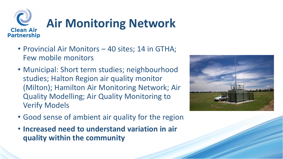

- Provincial Air Monitors 40 sites; 14 in GTHA; Few mobile monitors
- Municipal: Short term studies; neighbourhood studies; Halton Region air quality monitor (Milton); Hamilton Air Monitoring Network; Air Quality Modelling; Air Quality Monitoring to Verify Models
- Good sense of ambient air quality for the region
- **Increased need to understand variation in air quality within the community**

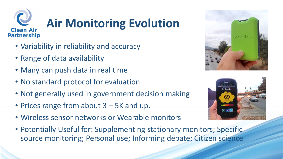

## **Air Monitoring Evolution**

- Variability in reliability and accuracy
- Range of data availability
- Many can push data in real time
- No standard protocol for evaluation
- Not generally used in government decision making
- Prices range from about 3 5K and up.
- Wireless sensor networks or Wearable monitors
- Potentially Useful for: Supplementing stationary monitors; Specific source monitoring; Personal use; Informing debate; Citizen science



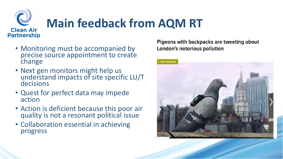

### **Main feedback from AQM RT**

- Monitoring must be accompanied by precise source appointment to create change
- Next gen monitors might help us understand impacts of site specific LU/T decisions
- Quest for perfect data may impede action
- Action is deficient because this poor air quality is not a resonant political issue
- Collaboration essential in achieving progress

**Pigeons with backpacks are tweeting about** London's notorious pollution

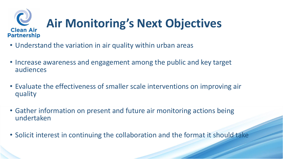#### Q **Air Monitoring's Next Objectives Clean Air Partnership**

- Understand the variation in air quality within urban areas
- Increase awareness and engagement among the public and key target audiences
- Evaluate the effectiveness of smaller scale interventions on improving air quality
- Gather information on present and future air monitoring actions being undertaken
- Solicit interest in continuing the collaboration and the format it should take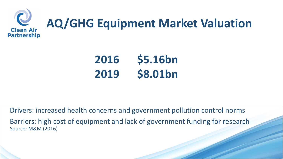

# **AQ/GHG Equipment Market Valuation**

**2016 \$5.16bn 2019 \$8.01bn**

Drivers: increased health concerns and government pollution control norms Barriers: high cost of equipment and lack of government funding for research Source: M&M (2016)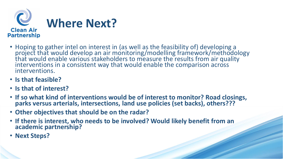

- Hoping to gather intel on interest in (as well as the feasibility of) developing a project that would develop an air monitoring/modelling framework/methodology that would enable various stakeholders to measure the results from air quality interventions in a consistent way that would enable the comparison across interventions.
- **Is that feasible?**
- **Is that of interest?**
- **If so what kind of interventions would be of interest to monitor? Road closings, parks versus arterials, intersections, land use policies (set backs), others???**
- **Other objectives that should be on the radar?**
- **If there is interest, who needs to be involved? Would likely benefit from an academic partnership?**
- **Next Steps?**